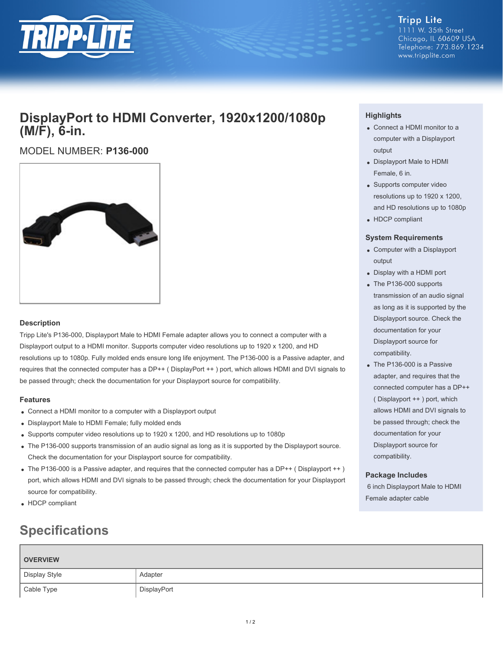

### **DisplayPort to HDMI Converter, 1920x1200/1080p (M/F), 6-in.**

### MODEL NUMBER: **P136-000**



### **Description**

Tripp Lite's P136-000, Displayport Male to HDMI Female adapter allows you to connect a computer with a Displayport output to a HDMI monitor. Supports computer video resolutions up to 1920 x 1200, and HD resolutions up to 1080p. Fully molded ends ensure long life enjoyment. The P136-000 is a Passive adapter, and requires that the connected computer has a DP++ ( DisplayPort ++ ) port, which allows HDMI and DVI signals to be passed through; check the documentation for your Displayport source for compatibility.

### **Features**

- Connect a HDMI monitor to a computer with a Displayport output
- Displayport Male to HDMI Female; fully molded ends
- Supports computer video resolutions up to 1920 x 1200, and HD resolutions up to 1080p
- The P136-000 supports transmission of an audio signal as long as it is supported by the Displayport source. Check the documentation for your Displayport source for compatibility.
- The P136-000 is a Passive adapter, and requires that the connected computer has a DP++ (Displayport ++) port, which allows HDMI and DVI signals to be passed through; check the documentation for your Displayport source for compatibility.
- HDCP compliant

## **Specifications**

# **OVERVIEW** Display Style **Adapter** Adapter Cable Type DisplayPort

### **Highlights**

- Connect a HDMI monitor to a computer with a Displayport output
- Displayport Male to HDMI Female, 6 in.
- Supports computer video resolutions up to 1920 x 1200, and HD resolutions up to 1080p
- HDCP compliant

#### **System Requirements**

- Computer with a Displayport output
- Display with a HDMI port
- The P136-000 supports transmission of an audio signal as long as it is supported by the Displayport source. Check the documentation for your Displayport source for compatibility.
- The P136-000 is a Passive adapter, and requires that the connected computer has a DP++ ( Displayport ++ ) port, which allows HDMI and DVI signals to be passed through; check the documentation for your Displayport source for compatibility.

### **Package Includes**

 6 inch Displayport Male to HDMI Female adapter cable